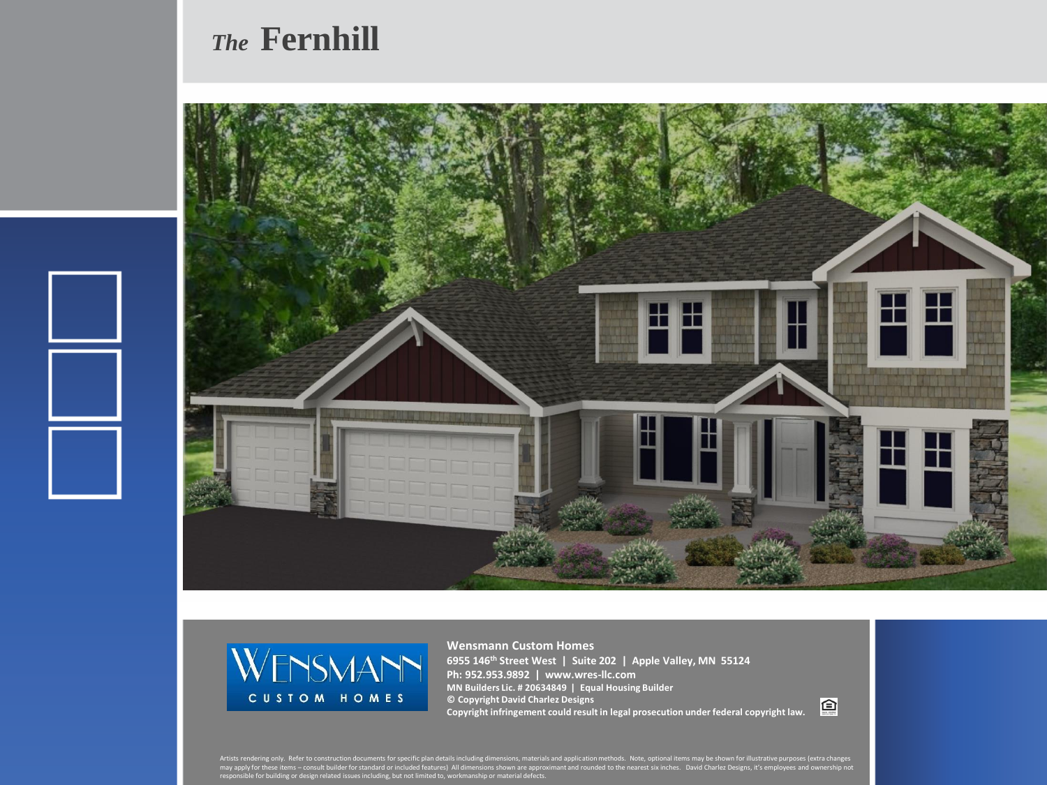## *The* **Fernhill**





**Wensmann Custom Homes 6955 146th Street West | Suite 202 | Apple Valley, MN 55124 Ph: 952.953.9892 | www.wres-llc.com MN Builders Lic. # 20634849 | Equal Housing Builder © Copyright David Charlez Designs Copyright infringement could result in legal prosecution under federal copyright law.**

回

Artists rendering only. Refer to construction documents for specific plan details including dimensions, materials and application methods. Note, optional items may be shown for illustrative purposes (extra changes<br>may appl